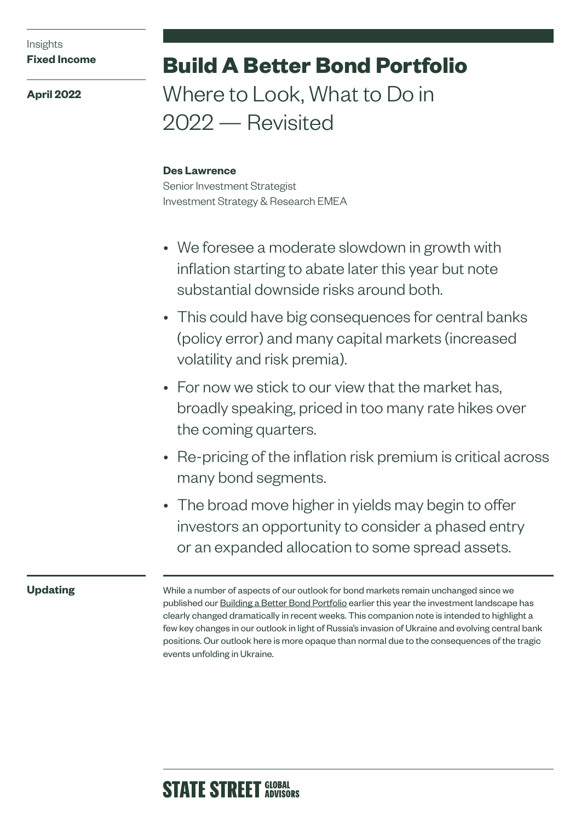### Insights **Fixed Income**

**April 2022**

# **Build A Better Bond Portfolio**  Where to Look, What to Do in

2022 — Revisited

## **Des Lawrence**

Senior Investment Strategist Investment Strategy & Research EMEA

- We foresee a moderate slowdown in growth with inflation starting to abate later this year but note substantial downside risks around both.
- This could have big consequences for central banks (policy error) and many capital markets (increased volatility and risk premia).
- For now we stick to our view that the market has, broadly speaking, priced in too many rate hikes over the coming quarters.
- Re-pricing of the inflation risk premium is critical across many bond segments.
- The broad move higher in yields may begin to offer investors an opportunity to consider a phased entry or an expanded allocation to some spread assets.

# **Updating**

While a number of aspects of our outlook for bond markets remain unchanged since we published our [Building a Better Bond Portfolio](https://www.ssga.com/uk/en_gb/institutional/ic/insights/2022-build-better-fixed-income) earlier this year the investment landscape has clearly changed dramatically in recent weeks. This companion note is intended to highlight a few key changes in our outlook in light of Russia's invasion of Ukraine and evolving central bank positions. Our outlook here is more opaque than normal due to the consequences of the tragic events unfolding in Ukraine.

# **STATE STREET GLOBAL**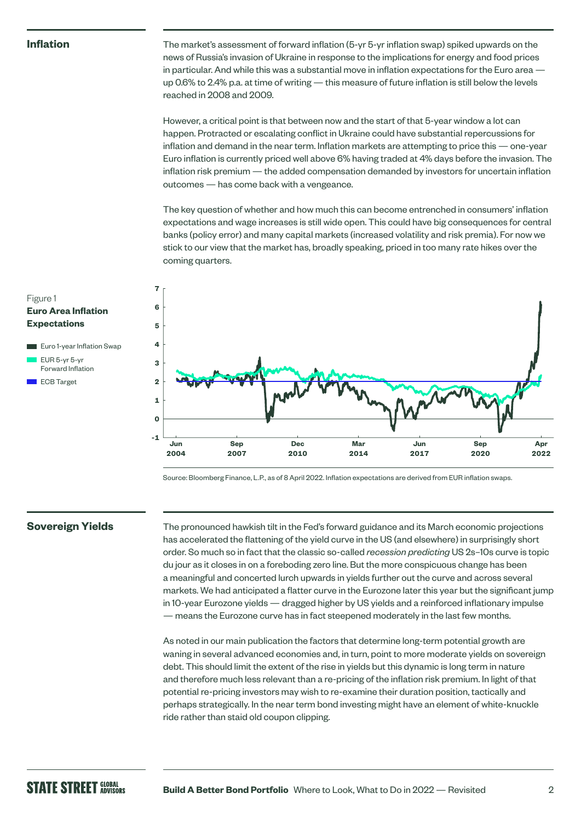#### **Inflation**

Figure 1

**Euro Area Inflation Expectations**

**Euro 1-year Inflation Swap**  EUR 5-yr 5-yr Forward Inflation ECB Target

The market's assessment of forward inflation (5-yr 5-yr inflation swap) spiked upwards on the news of Russia's invasion of Ukraine in response to the implications for energy and food prices in particular. And while this was a substantial move in inflation expectations for the Euro area up 0.6% to 2.4% p.a. at time of writing — this measure of future inflation is still below the levels reached in 2008 and 2009.

However, a critical point is that between now and the start of that 5-year window a lot can happen. Protracted or escalating conflict in Ukraine could have substantial repercussions for inflation and demand in the near term. Inflation markets are attempting to price this — one-year Euro inflation is currently priced well above 6% having traded at 4% days before the invasion. The inflation risk premium — the added compensation demanded by investors for uncertain inflation outcomes — has come back with a vengeance.

The key question of whether and how much this can become entrenched in consumers' inflation expectations and wage increases is still wide open. This could have big consequences for central banks (policy error) and many capital markets (increased volatility and risk premia). For now we stick to our view that the market has, broadly speaking, priced in too many rate hikes over the coming quarters.



Source: Bloomberg Finance, L.P., as of 8 April 2022. Inflation expectations are derived from EUR inflation swaps.

#### **Sovereign Yields**

The pronounced hawkish tilt in the Fed's forward guidance and its March economic projections has accelerated the flattening of the yield curve in the US (and elsewhere) in surprisingly short order. So much so in fact that the classic so-called *recession predicting* US 2s–10s curve is topic du jour as it closes in on a foreboding zero line. But the more conspicuous change has been a meaningful and concerted lurch upwards in yields further out the curve and across several markets. We had anticipated a flatter curve in the Eurozone later this year but the significant jump in 10-year Eurozone yields — dragged higher by US yields and a reinforced inflationary impulse — means the Eurozone curve has in fact steepened moderately in the last few months.

As noted in our main publication the factors that determine long-term potential growth are waning in several advanced economies and, in turn, point to more moderate yields on sovereign debt. This should limit the extent of the rise in yields but this dynamic is long term in nature and therefore much less relevant than a re-pricing of the inflation risk premium. In light of that potential re-pricing investors may wish to re-examine their duration position, tactically and perhaps strategically. In the near term bond investing might have an element of white-knuckle ride rather than staid old coupon clipping.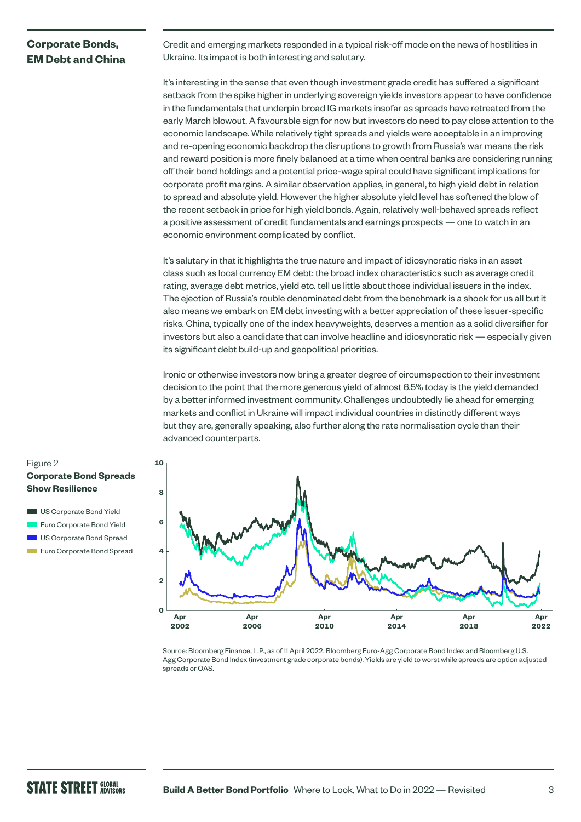### **Corporate Bonds, EM Debt and China**

Credit and emerging markets responded in a typical risk-off mode on the news of hostilities in Ukraine. Its impact is both interesting and salutary.

It's interesting in the sense that even though investment grade credit has suffered a significant setback from the spike higher in underlying sovereign yields investors appear to have confidence in the fundamentals that underpin broad IG markets insofar as spreads have retreated from the early March blowout. A favourable sign for now but investors do need to pay close attention to the economic landscape. While relatively tight spreads and yields were acceptable in an improving and re-opening economic backdrop the disruptions to growth from Russia's war means the risk and reward position is more finely balanced at a time when central banks are considering running off their bond holdings and a potential price-wage spiral could have significant implications for corporate profit margins. A similar observation applies, in general, to high yield debt in relation to spread and absolute yield. However the higher absolute yield level has softened the blow of the recent setback in price for high yield bonds. Again, relatively well-behaved spreads reflect a positive assessment of credit fundamentals and earnings prospects — one to watch in an economic environment complicated by conflict.

It's salutary in that it highlights the true nature and impact of idiosyncratic risks in an asset class such as local currency EM debt: the broad index characteristics such as average credit rating, average debt metrics, yield etc. tell us little about those individual issuers in the index. The ejection of Russia's rouble denominated debt from the benchmark is a shock for us all but it also means we embark on EM debt investing with a better appreciation of these issuer-specific risks. China, typically one of the index heavyweights, deserves a mention as a solid diversifier for investors but also a candidate that can involve headline and idiosyncratic risk — especially given its significant debt build-up and geopolitical priorities.

Ironic or otherwise investors now bring a greater degree of circumspection to their investment decision to the point that the more generous yield of almost 6.5% today is the yield demanded by a better informed investment community. Challenges undoubtedly lie ahead for emerging markets and conflict in Ukraine will impact individual countries in distinctly different ways but they are, generally speaking, also further along the rate normalisation cycle than their advanced counterparts.



Source: Bloomberg Finance, L.P., as of 11 April 2022. Bloomberg Euro-Agg Corporate Bond Index and Bloomberg U.S. Agg Corporate Bond Index (investment grade corporate bonds). Yields are yield to worst while spreads are option adjusted spreads or OAS.

#### Figure 2 **Corporate Bond Spreads Show Resilience**

- US Corporate Bond Yield Euro Corporate Bond Yield
- US Corporate Bond Spread Euro Corporate Bond Spread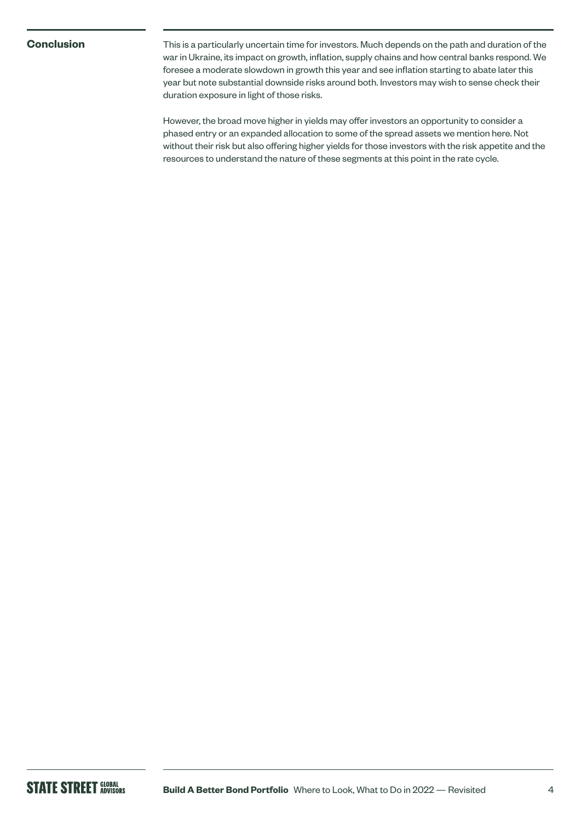**Conclusion** This is a particularly uncertain time for investors. Much depends on the path and duration of the war in Ukraine, its impact on growth, inflation, supply chains and how central banks respond. We foresee a moderate slowdown in growth this year and see inflation starting to abate later this year but note substantial downside risks around both. Investors may wish to sense check their duration exposure in light of those risks.

> However, the broad move higher in yields may offer investors an opportunity to consider a phased entry or an expanded allocation to some of the spread assets we mention here. Not without their risk but also offering higher yields for those investors with the risk appetite and the resources to understand the nature of these segments at this point in the rate cycle.